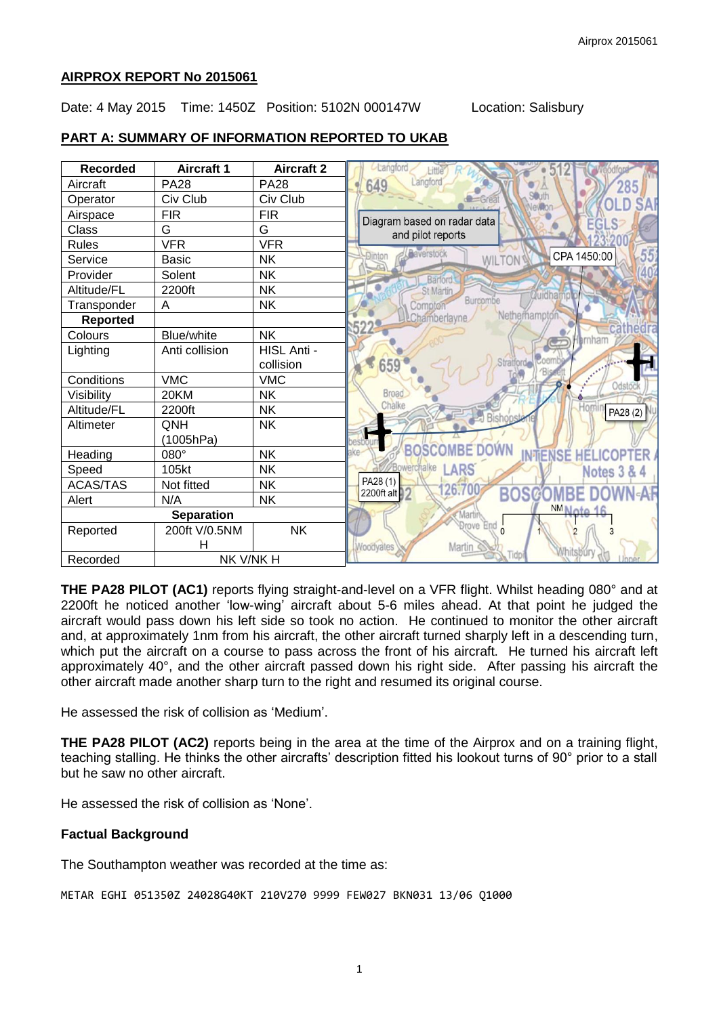### **AIRPROX REPORT No 2015061**

#### Date: 4 May 2015 Time: 1450Z Position: 5102N 000147W Location: Salisbury

## **PART A: SUMMARY OF INFORMATION REPORTED TO UKAB**

| <b>Recorded</b>   | <b>Aircraft 1</b> | <b>Aircraft 2</b> | Langford                                                |
|-------------------|-------------------|-------------------|---------------------------------------------------------|
| Aircraft          | <b>PA28</b>       | <b>PA28</b>       | Langford<br>649<br>285                                  |
| Operator          | Civ Club          | Civ Club          |                                                         |
| Airspace          | <b>FIR</b>        | <b>FIR</b>        | Diagram based on radar data                             |
| Class             | G                 | G                 | and pilot reports                                       |
| <b>Rules</b>      | <b>VFR</b>        | <b>VFR</b>        |                                                         |
| Service           | <b>Basic</b>      | <b>NK</b>         | <b>Baverstock</b><br>55<br>CPA 1450:00<br><b>WILTON</b> |
| Provider          | Solent            | <b>NK</b>         | Barford                                                 |
| Altitude/FL       | 2200ft            | <b>NK</b>         | St Martin<br>Quidhai                                    |
| Transponder       | A                 | <b>NK</b>         | Burcombe<br>Compton                                     |
| <b>Reported</b>   |                   |                   | Netherhampton<br><b>LChamberlayne</b>                   |
| Colours           | Blue/white        | <b>NK</b>         | ernham                                                  |
| Lighting          | Anti collision    | HISL Anti -       |                                                         |
|                   |                   | collision         | Stratford<br>659                                        |
| Conditions        | <b>VMC</b>        | <b>VMC</b>        | Odstoc                                                  |
| Visibility        | 20KM              | <b>NK</b>         |                                                         |
| Altitude/FL       | 2200ft            | <b>NK</b>         | PA28(2)<br>Bishon                                       |
| Altimeter         | <b>QNH</b>        | <b>NK</b>         |                                                         |
|                   | (1005hPa)         |                   | OWN                                                     |
| Heading           | 080°              | <b>NK</b>         | <b>NTIENSE</b><br><b>ICOP</b><br>HEL                    |
| Speed             | 105kt             | <b>NK</b>         | Bowerchalke<br><b>ARS</b><br><b>Notes 3 &amp; 4</b>     |
| <b>ACAS/TAS</b>   | Not fitted        | <b>NK</b>         | PA28 (1)<br>26,700                                      |
| Alert             | N/A               | <b>NK</b>         | <b>BOSCOMBE</b><br>2200ft alt                           |
| <b>Separation</b> |                   |                   | <b>NM Note</b><br><b>Marti</b>                          |
| Reported          | 200ft V/0.5NM     | <b>NK</b>         | Drove End<br>$\Omega$                                   |
|                   | н                 |                   | Martin<br><b>Woodvates</b>                              |
| Recorded          | NK V/NK H         |                   |                                                         |

**THE PA28 PILOT (AC1)** reports flying straight-and-level on a VFR flight. Whilst heading 080° and at 2200ft he noticed another 'low-wing' aircraft about 5-6 miles ahead. At that point he judged the aircraft would pass down his left side so took no action. He continued to monitor the other aircraft and, at approximately 1nm from his aircraft, the other aircraft turned sharply left in a descending turn, which put the aircraft on a course to pass across the front of his aircraft. He turned his aircraft left approximately 40°, and the other aircraft passed down his right side. After passing his aircraft the other aircraft made another sharp turn to the right and resumed its original course.

He assessed the risk of collision as 'Medium'.

**THE PA28 PILOT (AC2)** reports being in the area at the time of the Airprox and on a training flight, teaching stalling. He thinks the other aircrafts' description fitted his lookout turns of 90° prior to a stall but he saw no other aircraft.

He assessed the risk of collision as 'None'.

### **Factual Background**

The Southampton weather was recorded at the time as:

METAR EGHI 051350Z 24028G40KT 210V270 9999 FEW027 BKN031 13/06 Q1000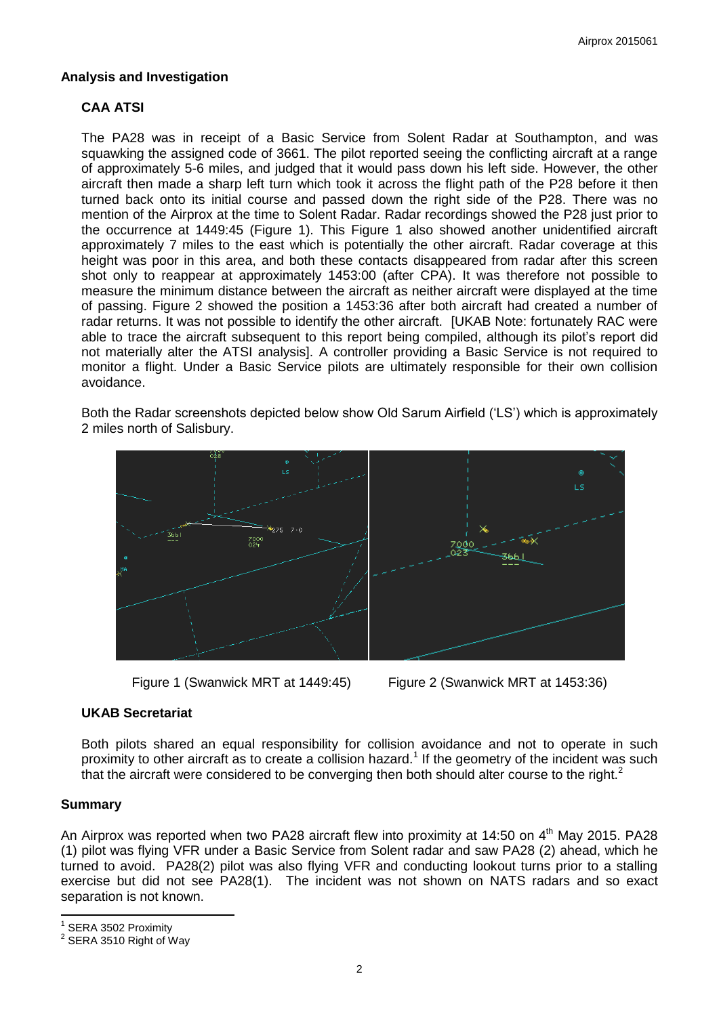## **Analysis and Investigation**

## **CAA ATSI**

The PA28 was in receipt of a Basic Service from Solent Radar at Southampton, and was squawking the assigned code of 3661. The pilot reported seeing the conflicting aircraft at a range of approximately 5-6 miles, and judged that it would pass down his left side. However, the other aircraft then made a sharp left turn which took it across the flight path of the P28 before it then turned back onto its initial course and passed down the right side of the P28. There was no mention of the Airprox at the time to Solent Radar. Radar recordings showed the P28 just prior to the occurrence at 1449:45 (Figure 1). This Figure 1 also showed another unidentified aircraft approximately 7 miles to the east which is potentially the other aircraft. Radar coverage at this height was poor in this area, and both these contacts disappeared from radar after this screen shot only to reappear at approximately 1453:00 (after CPA). It was therefore not possible to measure the minimum distance between the aircraft as neither aircraft were displayed at the time of passing. Figure 2 showed the position a 1453:36 after both aircraft had created a number of radar returns. It was not possible to identify the other aircraft. [UKAB Note: fortunately RAC were able to trace the aircraft subsequent to this report being compiled, although its pilot's report did not materially alter the ATSI analysis]. A controller providing a Basic Service is not required to monitor a flight. Under a Basic Service pilots are ultimately responsible for their own collision avoidance.

Both the Radar screenshots depicted below show Old Sarum Airfield ('LS') which is approximately 2 miles north of Salisbury.





### **UKAB Secretariat**

Both pilots shared an equal responsibility for collision avoidance and not to operate in such proximity to other aircraft as to create a collision hazard.<sup>1</sup> If the geometry of the incident was such that the aircraft were considered to be converging then both should alter course to the right. $2$ 

### **Summary**

An Airprox was reported when two PA28 aircraft flew into proximity at 14:50 on 4<sup>th</sup> May 2015. PA28 (1) pilot was flying VFR under a Basic Service from Solent radar and saw PA28 (2) ahead, which he turned to avoid. PA28(2) pilot was also flying VFR and conducting lookout turns prior to a stalling exercise but did not see PA28(1). The incident was not shown on NATS radars and so exact separation is not known.

 $\overline{\phantom{a}}$ 1 SERA 3502 Proximity

 $^2$  SERA 3510 Right of Way